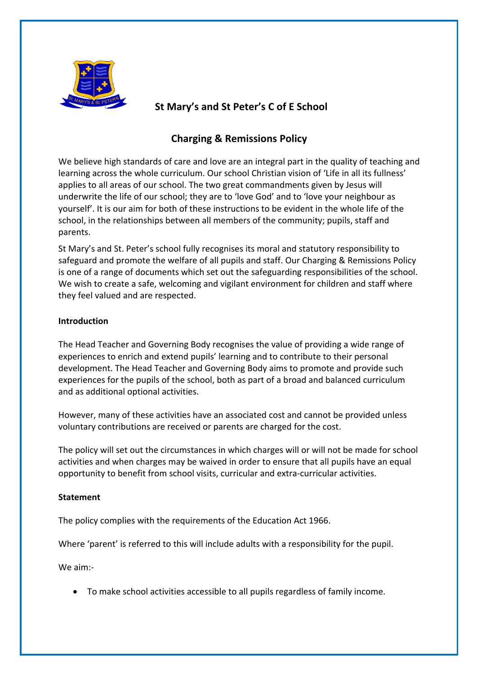

# **St Mary's and St Peter's C of E School**

# **Charging & Remissions Policy**

We believe high standards of care and love are an integral part in the quality of teaching and learning across the whole curriculum. Our school Christian vision of 'Life in all its fullness' applies to all areas of our school. The two great commandments given by Jesus will underwrite the life of our school; they are to 'love God' and to 'love your neighbour as yourself'. It is our aim for both of these instructions to be evident in the whole life of the school, in the relationships between all members of the community; pupils, staff and parents.

St Mary's and St. Peter's school fully recognises its moral and statutory responsibility to safeguard and promote the welfare of all pupils and staff. Our Charging & Remissions Policy is one of a range of documents which set out the safeguarding responsibilities of the school. We wish to create a safe, welcoming and vigilant environment for children and staff where they feel valued and are respected.

# **Introduction**

The Head Teacher and Governing Body recognises the value of providing a wide range of experiences to enrich and extend pupils' learning and to contribute to their personal development. The Head Teacher and Governing Body aims to promote and provide such experiences for the pupils of the school, both as part of a broad and balanced curriculum and as additional optional activities.

However, many of these activities have an associated cost and cannot be provided unless voluntary contributions are received or parents are charged for the cost.

The policy will set out the circumstances in which charges will or will not be made for school activities and when charges may be waived in order to ensure that all pupils have an equal opportunity to benefit from school visits, curricular and extra-curricular activities.

# **Statement**

The policy complies with the requirements of the Education Act 1966.

Where 'parent' is referred to this will include adults with a responsibility for the pupil.

We aim:-

• To make school activities accessible to all pupils regardless of family income.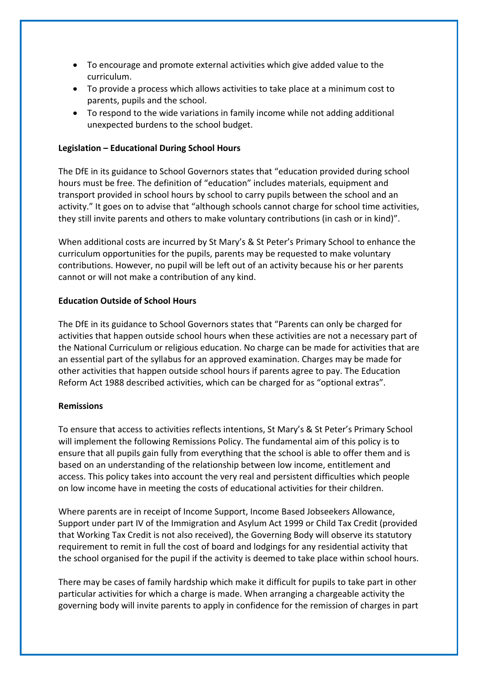- To encourage and promote external activities which give added value to the curriculum.
- To provide a process which allows activities to take place at a minimum cost to parents, pupils and the school.
- To respond to the wide variations in family income while not adding additional unexpected burdens to the school budget.

## **Legislation – Educational During School Hours**

The DfE in its guidance to School Governors states that "education provided during school hours must be free. The definition of "education" includes materials, equipment and transport provided in school hours by school to carry pupils between the school and an activity." It goes on to advise that "although schools cannot charge for school time activities, they still invite parents and others to make voluntary contributions (in cash or in kind)".

When additional costs are incurred by St Mary's & St Peter's Primary School to enhance the curriculum opportunities for the pupils, parents may be requested to make voluntary contributions. However, no pupil will be left out of an activity because his or her parents cannot or will not make a contribution of any kind.

## **Education Outside of School Hours**

The DfE in its guidance to School Governors states that "Parents can only be charged for activities that happen outside school hours when these activities are not a necessary part of the National Curriculum or religious education. No charge can be made for activities that are an essential part of the syllabus for an approved examination. Charges may be made for other activities that happen outside school hours if parents agree to pay. The Education Reform Act 1988 described activities, which can be charged for as "optional extras".

## **Remissions**

To ensure that access to activities reflects intentions, St Mary's & St Peter's Primary School will implement the following Remissions Policy. The fundamental aim of this policy is to ensure that all pupils gain fully from everything that the school is able to offer them and is based on an understanding of the relationship between low income, entitlement and access. This policy takes into account the very real and persistent difficulties which people on low income have in meeting the costs of educational activities for their children.

Where parents are in receipt of Income Support, Income Based Jobseekers Allowance, Support under part IV of the Immigration and Asylum Act 1999 or Child Tax Credit (provided that Working Tax Credit is not also received), the Governing Body will observe its statutory requirement to remit in full the cost of board and lodgings for any residential activity that the school organised for the pupil if the activity is deemed to take place within school hours.

There may be cases of family hardship which make it difficult for pupils to take part in other particular activities for which a charge is made. When arranging a chargeable activity the governing body will invite parents to apply in confidence for the remission of charges in part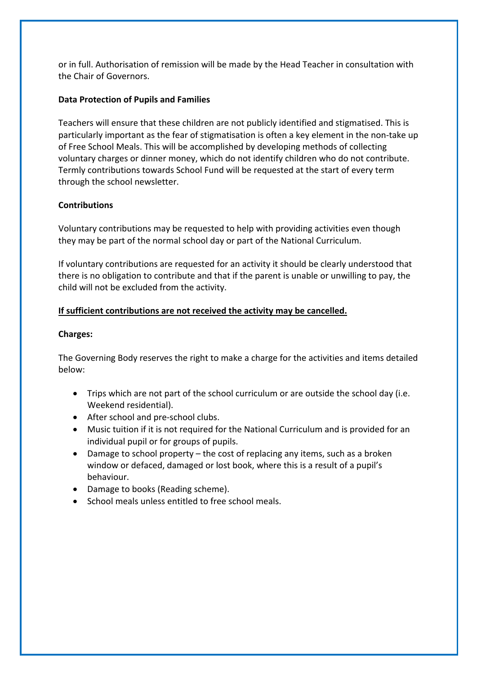or in full. Authorisation of remission will be made by the Head Teacher in consultation with the Chair of Governors.

## **Data Protection of Pupils and Families**

Teachers will ensure that these children are not publicly identified and stigmatised. This is particularly important as the fear of stigmatisation is often a key element in the non-take up of Free School Meals. This will be accomplished by developing methods of collecting voluntary charges or dinner money, which do not identify children who do not contribute. Termly contributions towards School Fund will be requested at the start of every term through the school newsletter.

## **Contributions**

Voluntary contributions may be requested to help with providing activities even though they may be part of the normal school day or part of the National Curriculum.

If voluntary contributions are requested for an activity it should be clearly understood that there is no obligation to contribute and that if the parent is unable or unwilling to pay, the child will not be excluded from the activity.

# **If sufficient contributions are not received the activity may be cancelled.**

## **Charges:**

The Governing Body reserves the right to make a charge for the activities and items detailed below:

- Trips which are not part of the school curriculum or are outside the school day (i.e. Weekend residential).
- After school and pre-school clubs.
- Music tuition if it is not required for the National Curriculum and is provided for an individual pupil or for groups of pupils.
- Damage to school property the cost of replacing any items, such as a broken window or defaced, damaged or lost book, where this is a result of a pupil's behaviour.
- Damage to books (Reading scheme).
- School meals unless entitled to free school meals.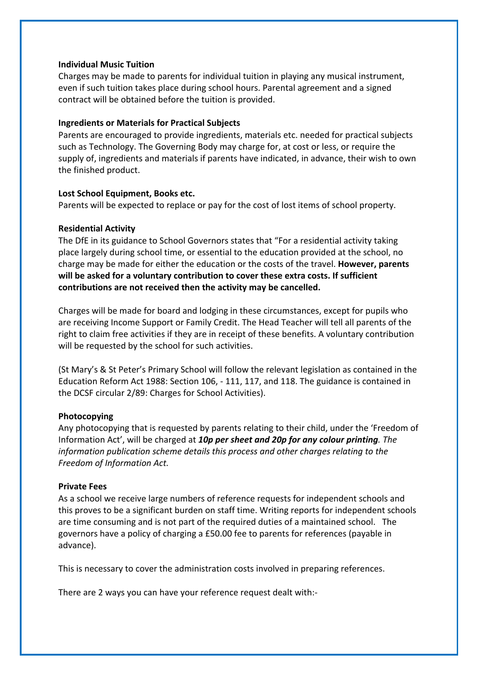#### **Individual Music Tuition**

Charges may be made to parents for individual tuition in playing any musical instrument, even if such tuition takes place during school hours. Parental agreement and a signed contract will be obtained before the tuition is provided.

#### **Ingredients or Materials for Practical Subjects**

Parents are encouraged to provide ingredients, materials etc. needed for practical subjects such as Technology. The Governing Body may charge for, at cost or less, or require the supply of, ingredients and materials if parents have indicated, in advance, their wish to own the finished product.

#### **Lost School Equipment, Books etc.**

Parents will be expected to replace or pay for the cost of lost items of school property.

## **Residential Activity**

The DfE in its guidance to School Governors states that "For a residential activity taking place largely during school time, or essential to the education provided at the school, no charge may be made for either the education or the costs of the travel. **However, parents will be asked for a voluntary contribution to cover these extra costs. If sufficient contributions are not received then the activity may be cancelled.**

Charges will be made for board and lodging in these circumstances, except for pupils who are receiving Income Support or Family Credit. The Head Teacher will tell all parents of the right to claim free activities if they are in receipt of these benefits. A voluntary contribution will be requested by the school for such activities.

(St Mary's & St Peter's Primary School will follow the relevant legislation as contained in the Education Reform Act 1988: Section 106, - 111, 117, and 118. The guidance is contained in the DCSF circular 2/89: Charges for School Activities).

## **Photocopying**

Any photocopying that is requested by parents relating to their child, under the 'Freedom of Information Act', will be charged at *10p per sheet and 20p for any colour printing. The information publication scheme details this process and other charges relating to the Freedom of Information Act.*

#### **Private Fees**

As a school we receive large numbers of reference requests for independent schools and this proves to be a significant burden on staff time. Writing reports for independent schools are time consuming and is not part of the required duties of a maintained school. The governors have a policy of charging a £50.00 fee to parents for references (payable in advance).

This is necessary to cover the administration costs involved in preparing references.

There are 2 ways you can have your reference request dealt with:-